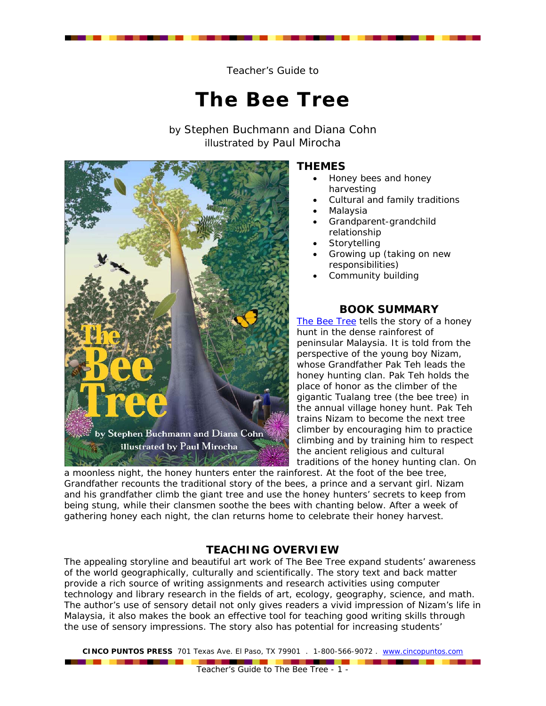Teacher's Guide to

# **The Bee Tree**

by Stephen Buchmann and Diana Cohn illustrated by Paul Mirocha



# **THEMES**

- Honey bees and honey harvesting
- Cultural and family traditions
- Malaysia
- Grandparent-grandchild relationship
- **Storytelling**
- Growing up (taking on new responsibilities)
- Community building

## **BOOK SUMMARY**

*[The Bee Tree](http://www.cincopuntos.com/products_detail.sstg?id=114)* tells the story of a honey hunt in the dense rainforest of peninsular Malaysia. It is told from the perspective of the young boy Nizam, whose Grandfather Pak Teh leads the honey hunting clan. Pak Teh holds the place of honor as the climber of the gigantic Tualang tree (the bee tree) in the annual village honey hunt. Pak Teh trains Nizam to become the next tree climber by encouraging him to practice climbing and by training him to respect the ancient religious and cultural traditions of the honey hunting clan. On

[a moonless night, the honey hunters enter the rain](http://www.cincopuntos.com/products_detail.sstg?id=114)forest. At the foot of the bee tree, Grandfather recounts the traditional story of the bees, a prince and a servant girl. Nizam and his grandfather climb the giant tree and use the honey hunters' secrets to keep from being stung, while their clansmen soothe the bees with chanting below. After a week of gathering honey each night, the clan returns home to celebrate their honey harvest.

# **TEACHING OVERVIEW**

The appealing storyline and beautiful art work of *The Bee Tree* expand students' awareness of the world geographically, culturally and scientifically. The story text and back matter provide a rich source of writing assignments and research activities using computer technology and library research in the fields of art, ecology, geography, science, and math. The author's use of sensory detail not only gives readers a vivid impression of Nizam's life in Malaysia, it also makes the book an effective tool for teaching good writing skills through the use of sensory impressions. The story also has potential for increasing students'

**CINCO PUNTOS PRESS** 701 Texas Ave. El Paso, TX 79901 . 1-800-566-9072 . www.cincopuntos.com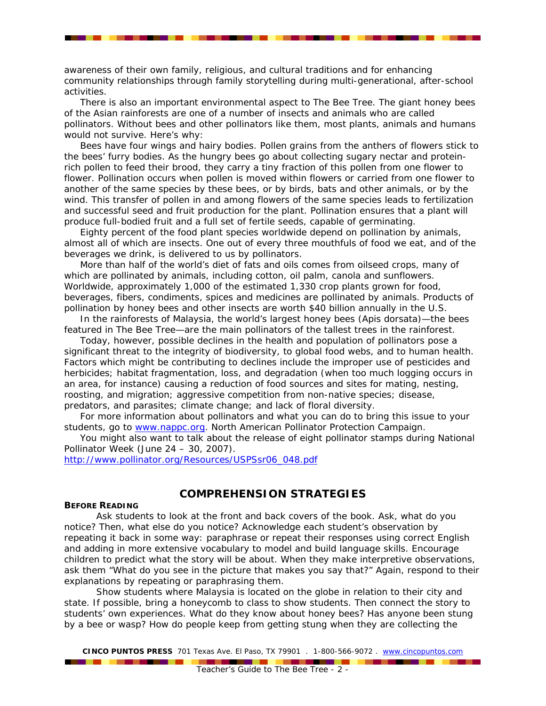awareness of their own family, religious, and cultural traditions and for enhancing community relationships through family storytelling during multi-generational, after-school activities.

There is also an important environmental aspect to *The Bee Tree*. The giant honey bees of the Asian rainforests are one of a number of insects and animals who are called pollinators. Without bees and other pollinators like them, most plants, animals and humans would not survive. Here's why:

Bees have four wings and hairy bodies. Pollen grains from the anthers of flowers stick to the bees' furry bodies. As the hungry bees go about collecting sugary nectar and proteinrich pollen to feed their brood, they carry a tiny fraction of this pollen from one flower to flower. Pollination occurs when pollen is moved within flowers or carried from one flower to another of the same species by these bees, or by birds, bats and other animals, or by the wind. This transfer of pollen in and among flowers of the same species leads to fertilization and successful seed and fruit production for the plant. Pollination ensures that a plant will produce full-bodied fruit and a full set of fertile seeds, capable of germinating.

Eighty percent of the food plant species worldwide depend on pollination by animals, almost all of which are insects. One out of every three mouthfuls of food we eat, and of the beverages we drink, is delivered to us by pollinators.

More than half of the world's diet of fats and oils comes from oilseed crops, many of which are pollinated by animals, including cotton, oil palm, canola and sunflowers. Worldwide, approximately 1,000 of the estimated 1,330 crop plants grown for food, beverages, fibers, condiments, spices and medicines are pollinated by animals. Products of pollination by honey bees and other insects are worth \$40 billion annually in the U.S.

In the rainforests of Malaysia, the world's largest honey bees (Apis dorsata)—the bees featured in *The Bee Tree*—are the main pollinators of the tallest trees in the rainforest.

Today, however, possible declines in the health and population of pollinators pose a significant threat to the integrity of biodiversity, to global food webs, and to human health. Factors which might be contributing to declines include the improper use of pesticides and herbicides; habitat fragmentation, loss, and degradation (when too much logging occurs in an area, for instance) causing a reduction of food sources and sites for mating, nesting, roosting, and migration; aggressive competition from non-native species; disease, predators, and parasites; climate change; and lack of floral diversity.

For more information about pollinators and what you can do to bring this issue to your students, go to [www.nappc.org.](http://www.nappc.org/) North American Pollinator Protection Campaign.

You might also want to talk about the release of eight pollinator stamps during National Pollinator Week (June 24 – 30, 2007).

[http://www.pollinator.org/Resources/USPSsr06\\_048.pdf](http://www.pollinator.org/Resources/USPSsr06_048.pdf)

-------

## **COMPREHENSION STRATEGIES**

## **BEFORE READING**

Ask students to look at the front and back covers of the book. Ask, what do you notice? Then, what else do you notice? Acknowledge each student's observation by repeating it back in some way: paraphrase or repeat their responses using correct English and adding in more extensive vocabulary to model and build language skills. Encourage children to predict what the story will be about. When they make interpretive observations, ask them "What do you see in the picture that makes you say that?" Again, respond to their explanations by repeating or paraphrasing them.

Show students where Malaysia is located on the globe in relation to their city and state. If possible, bring a honeycomb to class to show students. Then connect the story to students' own experiences. What do they know about honey bees? Has anyone been stung by a bee or wasp? How do people keep from getting stung when they are collecting the

**CINCO PUNTOS PRESS** 701 Texas Ave. El Paso, TX 79901 . 1-800-566-9072 . www.cincopuntos.com

\_\_\_\_\_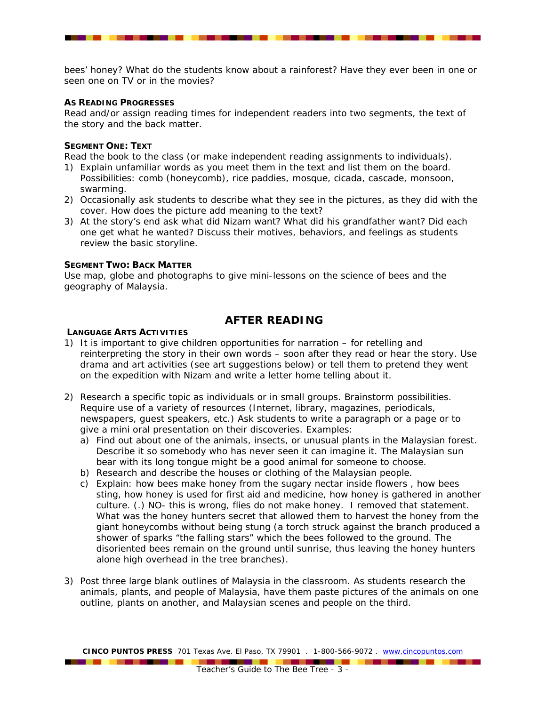bees' honey? What do the students know about a rainforest? Have they ever been in one or seen one on TV or in the movies?

## **AS READING PROGRESSES**

Read and/or assign reading times for independent readers into two segments, the text of the story and the back matter.

#### **SEGMENT ONE: TEXT**

Read the book to the class (or make independent reading assignments to individuals).

- 1) Explain unfamiliar words as you meet them in the text and list them on the board. Possibilities: comb (honeycomb), rice paddies, mosque, cicada, cascade, monsoon, swarming.
- 2) Occasionally ask students to describe what they see in the pictures, as they did with the cover. How does the picture add meaning to the text?
- 3) At the story's end ask what did Nizam want? What did his grandfather want? Did each one get what he wanted? Discuss their motives, behaviors, and feelings as students review the basic storyline.

#### **SEGMENT TWO: BACK MATTER**

Use map, globe and photographs to give mini-lessons on the science of bees and the geography of Malaysia.

## **AFTER READING**

#### **LANGUAGE ARTS ACTIVITIES**

. . . . . . . . . . .

- 1) It is important to give children opportunities for narration for retelling and reinterpreting the story in their own words – soon after they read or hear the story. Use drama and art activities (see art suggestions below) or tell them to pretend they went on the expedition with Nizam and write a letter home telling about it.
- 2) Research a specific topic as individuals or in small groups. Brainstorm possibilities. Require use of a variety of resources (Internet, library, magazines, periodicals, newspapers, guest speakers, etc.) Ask students to write a paragraph or a page or to give a mini oral presentation on their discoveries. Examples:
	- a) Find out about one of the animals, insects, or unusual plants in the Malaysian forest. Describe it so somebody who has never seen it can imagine it. The Malaysian sun bear with its long tongue might be a good animal for someone to choose.
	- b) Research and describe the houses or clothing of the Malaysian people.
	- c) Explain: how bees make honey from the sugary nectar inside flowers , how bees sting, how honey is used for first aid and medicine, how honey is gathered in another culture. (.) NO- this is wrong, flies do not make honey. I removed that statement. What was the honey hunters secret that allowed them to harvest the honey from the giant honeycombs without being stung (a torch struck against the branch produced a shower of sparks "the falling stars" which the bees followed to the ground. The disoriented bees remain on the ground until sunrise, thus leaving the honey hunters alone high overhead in the tree branches).
- 3) Post three large blank outlines of Malaysia in the classroom. As students research the animals, plants, and people of Malaysia, have them paste pictures of the animals on one outline, plants on another, and Malaysian scenes and people on the third.

**CINCO PUNTOS PRESS** 701 Texas Ave. El Paso, TX 79901 . 1-800-566-9072 . www.cincopuntos.com

------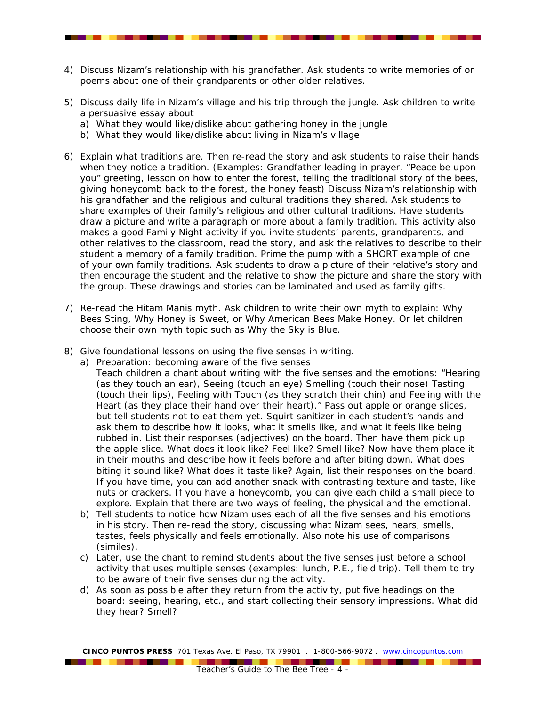- 4) Discuss Nizam's relationship with his grandfather. Ask students to write memories of or poems about one of their grandparents or other older relatives.
- 5) Discuss daily life in Nizam's village and his trip through the jungle. Ask children to write a persuasive essay about
	- a) What they would like/dislike about gathering honey in the jungle
	- b) What they would like/dislike about living in Nizam's village
- 6) Explain what traditions are. Then re-read the story and ask students to raise their hands when they notice a tradition. (Examples: Grandfather leading in prayer, "Peace be upon you" greeting, lesson on how to enter the forest, telling the traditional story of the bees, giving honeycomb back to the forest, the honey feast) Discuss Nizam's relationship with his grandfather and the religious and cultural traditions they shared. Ask students to share examples of their family's religious and other cultural traditions. Have students draw a picture and write a paragraph or more about a family tradition. This activity also makes a good Family Night activity if you invite students' parents, grandparents, and other relatives to the classroom, read the story, and ask the relatives to describe to their student a memory of a family tradition. Prime the pump with a SHORT example of one of your own family traditions. Ask students to draw a picture of their relative's story and then encourage the student and the relative to show the picture and share the story with the group. These drawings and stories can be laminated and used as family gifts.
- 7) Re-read the Hitam Manis myth. Ask children to write their own myth to explain: Why Bees Sting, Why Honey is Sweet, or Why American Bees Make Honey. Or let children choose their own myth topic such as Why the Sky is Blue.
- 8) Give foundational lessons on using the five senses in writing.
	- a) Preparation: becoming aware of the five senses

--------

Teach children a chant about writing with the five senses and the emotions: "Hearing (as they touch an ear), Seeing (touch an eye) Smelling (touch their nose) Tasting (touch their lips), Feeling with Touch (as they scratch their chin) and Feeling with the Heart (as they place their hand over their heart)." Pass out apple or orange slices, but tell students not to eat them yet. Squirt sanitizer in each student's hands and ask them to describe how it looks, what it smells like, and what it feels like being rubbed in. List their responses (adjectives) on the board. Then have them pick up the apple slice. What does it look like? Feel like? Smell like? Now have them place it in their mouths and describe how it feels before and after biting down. What does biting it sound like? What does it taste like? Again, list their responses on the board. If you have time, you can add another snack with contrasting texture and taste, like nuts or crackers. If you have a honeycomb, you can give each child a small piece to explore. Explain that there are two ways of feeling, the physical and the emotional.

- b) Tell students to notice how Nizam uses each of all the five senses and his emotions in his story. Then re-read the story, discussing what Nizam sees, hears, smells, tastes, feels physically and feels emotionally. Also note his use of comparisons (similes).
- c) Later, use the chant to remind students about the five senses just before a school activity that uses multiple senses (examples: lunch, P.E., field trip). Tell them to try to be aware of their five senses during the activity.
- d) As soon as possible after they return from the activity, put five headings on the board: seeing, hearing, etc., and start collecting their sensory impressions. What did they hear? Smell?

**CINCO PUNTOS PRESS** 701 Texas Ave. El Paso, TX 79901 . 1-800-566-9072 . www.cincopuntos.com

-----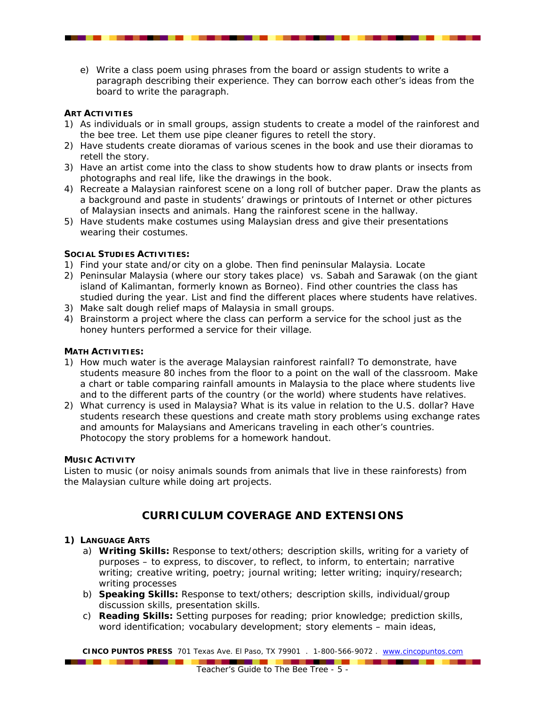e) Write a class poem using phrases from the board or assign students to write a paragraph describing their experience. They can borrow each other's ideas from the board to write the paragraph.

## **ART ACTIVITIES**

- 1) As individuals or in small groups, assign students to create a model of the rainforest and the bee tree. Let them use pipe cleaner figures to retell the story.
- 2) Have students create dioramas of various scenes in the book and use their dioramas to retell the story.
- 3) Have an artist come into the class to show students how to draw plants or insects from photographs and real life, like the drawings in the book.
- 4) Recreate a Malaysian rainforest scene on a long roll of butcher paper. Draw the plants as a background and paste in students' drawings or printouts of Internet or other pictures of Malaysian insects and animals. Hang the rainforest scene in the hallway.
- 5) Have students make costumes using Malaysian dress and give their presentations wearing their costumes.

## **SOCIAL STUDIES ACTIVITIES:**

- 1) Find your state and/or city on a globe. Then find peninsular Malaysia. Locate
- 2) Peninsular Malaysia (where our story takes place) vs. Sabah and Sarawak (on the giant island of Kalimantan, formerly known as Borneo). Find other countries the class has studied during the year. List and find the different places where students have relatives.
- 3) Make salt dough relief maps of Malaysia in small groups.
- 4) Brainstorm a project where the class can perform a service for the school just as the honey hunters performed a service for their village.

## **MATH ACTIVITIES:**

- 1) How much water is the average Malaysian rainforest rainfall? To demonstrate, have students measure 80 inches from the floor to a point on the wall of the classroom. Make a chart or table comparing rainfall amounts in Malaysia to the place where students live and to the different parts of the country (or the world) where students have relatives.
- 2) What currency is used in Malaysia? What is its value in relation to the U.S. dollar? Have students research these questions and create math story problems using exchange rates and amounts for Malaysians and Americans traveling in each other's countries. Photocopy the story problems for a homework handout.

#### **MUSIC ACTIVITY**

Listen to music (or noisy animals sounds from animals that live in these rainforests) from the Malaysian culture while doing art projects.

# **CURRICULUM COVERAGE AND EXTENSIONS**

## **1) LANGUAGE ARTS**

- a) **Writing Skills:** Response to text/others; description skills, writing for a variety of purposes – to express, to discover, to reflect, to inform, to entertain; narrative writing; creative writing, poetry; journal writing; letter writing; inquiry/research; writing processes
- b) **Speaking Skills:** Response to text/others; description skills, individual/group discussion skills, presentation skills.
- c) **Reading Skills:** Setting purposes for reading; prior knowledge; prediction skills, word identification; vocabulary development; story elements – main ideas,

**CINCO PUNTOS PRESS** 701 Texas Ave. El Paso, TX 79901 . 1-800-566-9072 . www.cincopuntos.com

. . . . . . . . . . . . .